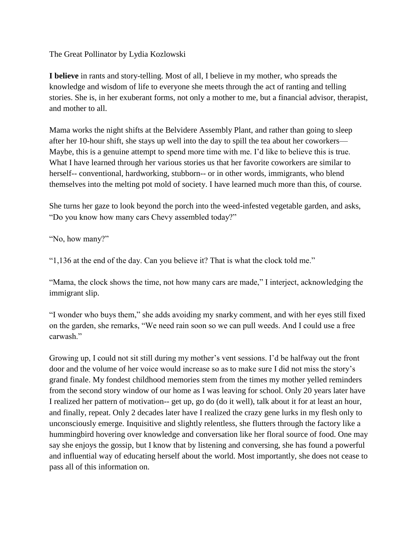The Great Pollinator by Lydia Kozlowski

**I believe** in rants and story-telling. Most of all, I believe in my mother, who spreads the knowledge and wisdom of life to everyone she meets through the act of ranting and telling stories. She is, in her exuberant forms, not only a mother to me, but a financial advisor, therapist, and mother to all.

Mama works the night shifts at the Belvidere Assembly Plant, and rather than going to sleep after her 10-hour shift, she stays up well into the day to spill the tea about her coworkers— Maybe, this is a genuine attempt to spend more time with me. I'd like to believe this is true. What I have learned through her various stories us that her favorite coworkers are similar to herself-- conventional, hardworking, stubborn-- or in other words, immigrants, who blend themselves into the melting pot mold of society. I have learned much more than this, of course.

She turns her gaze to look beyond the porch into the weed-infested vegetable garden, and asks, "Do you know how many cars Chevy assembled today?"

"No, how many?"

"1,136 at the end of the day. Can you believe it? That is what the clock told me."

"Mama, the clock shows the time, not how many cars are made," I interject, acknowledging the immigrant slip.

"I wonder who buys them," she adds avoiding my snarky comment, and with her eyes still fixed on the garden, she remarks, "We need rain soon so we can pull weeds. And I could use a free carwash."

Growing up, I could not sit still during my mother's vent sessions. I'd be halfway out the front door and the volume of her voice would increase so as to make sure I did not miss the story's grand finale. My fondest childhood memories stem from the times my mother yelled reminders from the second story window of our home as I was leaving for school. Only 20 years later have I realized her pattern of motivation-- get up, go do (do it well), talk about it for at least an hour, and finally, repeat. Only 2 decades later have I realized the crazy gene lurks in my flesh only to unconsciously emerge. Inquisitive and slightly relentless, she flutters through the factory like a hummingbird hovering over knowledge and conversation like her floral source of food. One may say she enjoys the gossip, but I know that by listening and conversing, she has found a powerful and influential way of educating herself about the world. Most importantly, she does not cease to pass all of this information on.